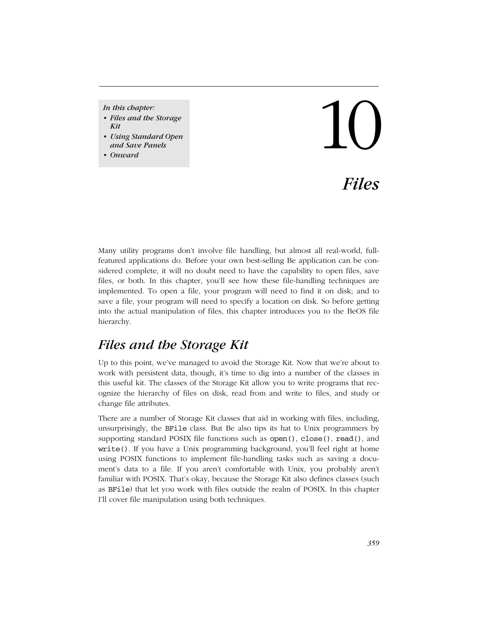*In this chapter:*

- *Files and the Storage Kit*
- *Using Standard Open and Save Panels*
- *Onward*

# 10

 $Files$ 

# Many utility programs don't involve file handling, but almost all real-world, fullfeatured applications do. Before your own best-selling Be application can be considered complete, it will no doubt need to have the capability to open files, save files, or both. In this chapter, you'll see how these file-handling techniques are implemented. To open a file, your program will need to find it on disk; and to save a file, your program will need to specify a location on disk. So before getting into the actual manipulation of files, this chapter introduces you to the BeOS file hierarchy.

# *Files and the Storage Kit*

Up to this point, we've managed to avoid the Storage Kit. Now that we're about to work with persistent data, though, it's time to dig into a number of the classes in this useful kit. The classes of the Storage Kit allow you to write programs that recognize the hierarchy of files on disk, read from and write to files, and study or change file attributes.

There are a number of Storage Kit classes that aid in working with files, including, unsurprisingly, the BFile class. But Be also tips its hat to Unix programmers by supporting standard POSIX file functions such as open(), close(), read(), and write(). If you have a Unix programming background, you'll feel right at home using POSIX functions to implement file-handling tasks such as saving a document's data to a file. If you aren't comfortable with Unix, you probably aren't familiar with POSIX. That's okay, because the Storage Kit also defines classes (such as BFile) that let you work with files outside the realm of POSIX. In this chapter I'll cover file manipulation using both techniques.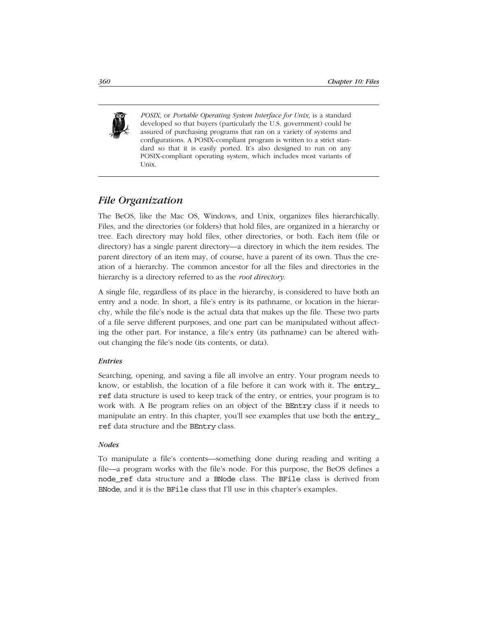

*POSIX*, or *Portable Operating System Interface for Unix*, is a standard developed so that buyers (particularly the U.S. government) could be assured of purchasing programs that ran on a variety of systems and configurations. A POSIX-compliant program is written to a strict standard so that it is easily ported. It's also designed to run on any POSIX-compliant operating system, which includes most variants of Unix.

# *File Organization*

The BeOS, like the Mac OS, Windows, and Unix, organizes files hierarchically. Files, and the directories (or folders) that hold files, are organized in a hierarchy or tree. Each directory may hold files, other directories, or both. Each item (file or directory) has a single parent directory—a directory in which the item resides. The parent directory of an item may, of course, have a parent of its own. Thus the creation of a hierarchy. The common ancestor for all the files and directories in the hierarchy is a directory referred to as the *root directory*.

A single file, regardless of its place in the hierarchy, is considered to have both an entry and a node. In short, a file's entry is its pathname, or location in the hierarchy, while the file's node is the actual data that makes up the file. These two parts of a file serve different purposes, and one part can be manipulated without affecting the other part. For instance, a file's entry (its pathname) can be altered without changing the file's node (its contents, or data).

### *Entries*

Searching, opening, and saving a file all involve an entry. Your program needs to know, or establish, the location of a file before it can work with it. The entry\_ ref data structure is used to keep track of the entry, or entries, your program is to work with. A Be program relies on an object of the BEntry class if it needs to manipulate an entry. In this chapter, you'll see examples that use both the entry\_ ref data structure and the BEntry class.

### *Nodes*

To manipulate a file's contents—something done during reading and writing a file—a program works with the file's node. For this purpose, the BeOS defines a node\_ref data structure and a BNode class. The BFile class is derived from BNode, and it is the BFile class that I'll use in this chapter's examples.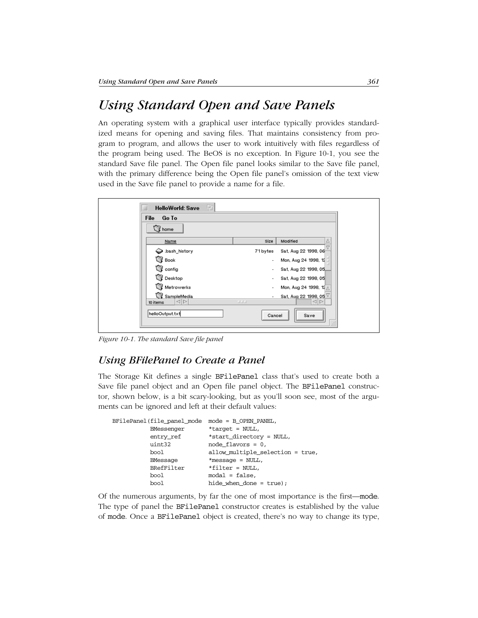# *Using Standard Open and Save Panels*

An operating system with a graphical user interface typically provides standardized means for opening and saving files. That maintains consistency from program to program, and allows the user to work intuitively with files regardless of the program being used. The BeOS is no exception. In Figure 10-1, you see the standard Save file panel. The Open file panel looks similar to the Save file panel, with the primary difference being the Open file panel's omission of the text view used in the Save file panel to provide a name for a file.

| Go To<br>File                              |                   |                                         |
|--------------------------------------------|-------------------|-----------------------------------------|
| $\mathbb{S}$ home                          |                   |                                         |
| <b>Name</b>                                | <b>Size</b>       | Modified                                |
| .bash_history                              | 71 bytes          | Sat, Aug 22 1998, 06                    |
| $\vee$ Book                                | $\blacksquare$    | Mon, Aug 24 1998, 13                    |
| $\mathbb{Q}$ config                        | ٠                 | Sat, Aug 22 1998, 05.                   |
| Pesktop                                    | ٠                 | Sat, Aug 22 1998, 05                    |
| Metrowerks                                 | ٠                 | Mon, Aug 24 1998, 12 /                  |
| SampleMedia<br>$\triangleleft$<br>10 items | ٠<br><b>CLOSE</b> | Sat, Aug 22 1998, 05<br>$\triangleleft$ |
| helloOutput.txt                            | Cancel            | Save                                    |

*Figure 10-1. The standard Save file panel*

## *Using BFilePanel to Create a Panel*

The Storage Kit defines a single BFilePanel class that's used to create both a Save file panel object and an Open file panel object. The BFilePanel constructor, shown below, is a bit scary-looking, but as you'll soon see, most of the arguments can be ignored and left at their default values:

| BFilePanel(file_panel_mode | $mode = BOPEN_PANEL,$            |
|----------------------------|----------------------------------|
| BMessenger                 | *target = $NULL$ ,               |
| entry ref                  | *start directory = NULL,         |
| uint32                     | node flavors = $0$ ,             |
| bool                       | allow_multiple_selection = true, |
| <b>BMessage</b>            | $*$ message = NULL,              |
| BRefFilter                 | $*filter = NULL,$                |
| bool                       | $modal = false$ ,                |
| bool                       | hide when done = $true$ ;        |
|                            |                                  |

Of the numerous arguments, by far the one of most importance is the first—mode. The type of panel the BFilePanel constructor creates is established by the value of mode. Once a BFilePanel object is created, there's no way to change its type,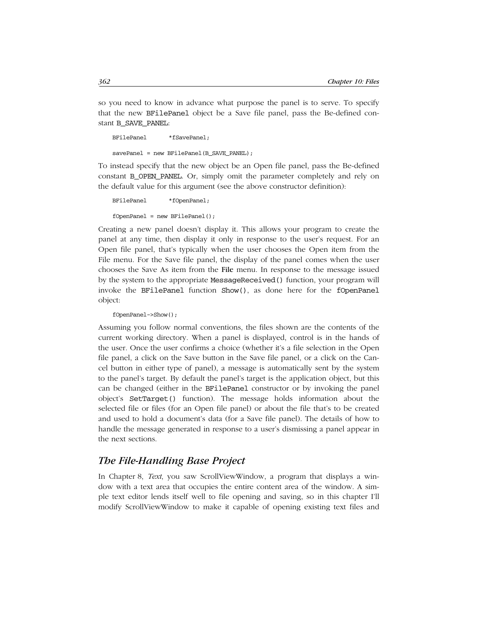so you need to know in advance what purpose the panel is to serve. To specify that the new BFilePanel object be a Save file panel, pass the Be-defined constant B\_SAVE\_PANEL:

BFilePanel \*fSavePanel;

savePanel = new BFilePanel(B\_SAVE\_PANEL);

To instead specify that the new object be an Open file panel, pass the Be-defined constant B\_OPEN\_PANEL. Or, simply omit the parameter completely and rely on the default value for this argument (see the above constructor definition):

```
BFilePanel *fOpenPanel;
fOpenPanel = new BFilePanel();
```
Creating a new panel doesn't display it. This allows your program to create the panel at any time, then display it only in response to the user's request. For an Open file panel, that's typically when the user chooses the Open item from the File menu. For the Save file panel, the display of the panel comes when the user chooses the Save As item from the File menu. In response to the message issued by the system to the appropriate MessageReceived() function, your program will invoke the BFilePanel function Show(), as done here for the fOpenPanel object:

#### fOpenPanel->Show();

Assuming you follow normal conventions, the files shown are the contents of the current working directory. When a panel is displayed, control is in the hands of the user. Once the user confirms a choice (whether it's a file selection in the Open file panel, a click on the Save button in the Save file panel, or a click on the Cancel button in either type of panel), a message is automatically sent by the system to the panel's target. By default the panel's target is the application object, but this can be changed (either in the BFilePanel constructor or by invoking the panel object's SetTarget() function). The message holds information about the selected file or files (for an Open file panel) or about the file that's to be created and used to hold a document's data (for a Save file panel). The details of how to handle the message generated in response to a user's dismissing a panel appear in the next sections.

## *The File-Handling Base Project*

In Chapter 8, *Text*, you saw ScrollViewWindow, a program that displays a window with a text area that occupies the entire content area of the window. A simple text editor lends itself well to file opening and saving, so in this chapter I'll modify ScrollViewWindow to make it capable of opening existing text files and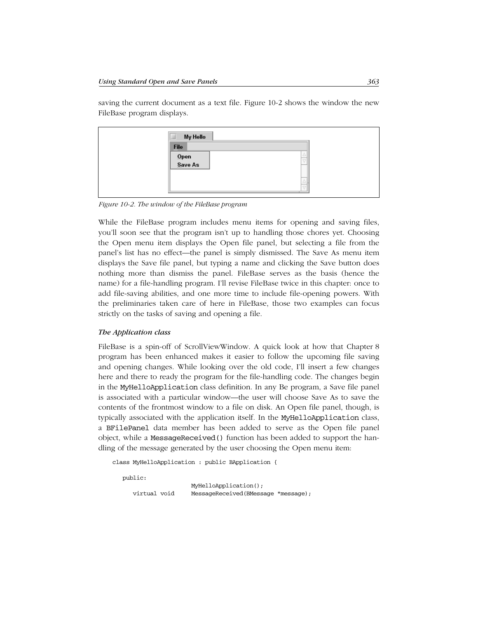saving the current document as a text file. Figure 10-2 shows the window the new FileBase program displays.

| My Hello<br>38                       |                     |
|--------------------------------------|---------------------|
| <b>File</b><br>--<br>Open<br>Save As | ≏<br>$\nabla$<br>₽  |
|                                      | $\overline{\nabla}$ |

*Figure 10-2. The window of the FileBase program*

While the FileBase program includes menu items for opening and saving files, you'll soon see that the program isn't up to handling those chores yet. Choosing the Open menu item displays the Open file panel, but selecting a file from the panel's list has no effect—the panel is simply dismissed. The Save As menu item displays the Save file panel, but typing a name and clicking the Save button does nothing more than dismiss the panel. FileBase serves as the basis (hence the name) for a file-handling program. I'll revise FileBase twice in this chapter: once to add file-saving abilities, and one more time to include file-opening powers. With the preliminaries taken care of here in FileBase, those two examples can focus strictly on the tasks of saving and opening a file.

#### *The Application class*

FileBase is a spin-off of ScrollViewWindow. A quick look at how that Chapter 8 program has been enhanced makes it easier to follow the upcoming file saving and opening changes. While looking over the old code, I'll insert a few changes here and there to ready the program for the file-handling code. The changes begin in the MyHelloApplication class definition. In any Be program, a Save file panel is associated with a particular window—the user will choose Save As to save the contents of the frontmost window to a file on disk. An Open file panel, though, is typically associated with the application itself. In the MyHelloApplication class, a BFilePanel data member has been added to serve as the Open file panel object, while a MessageReceived() function has been added to support the handling of the message generated by the user choosing the Open menu item:

```
class MyHelloApplication : public BApplication {
```

| public:      |                                     |  |
|--------------|-------------------------------------|--|
|              | MyHelloApplication();               |  |
| virtual void | MessageReceived(BMessage *message); |  |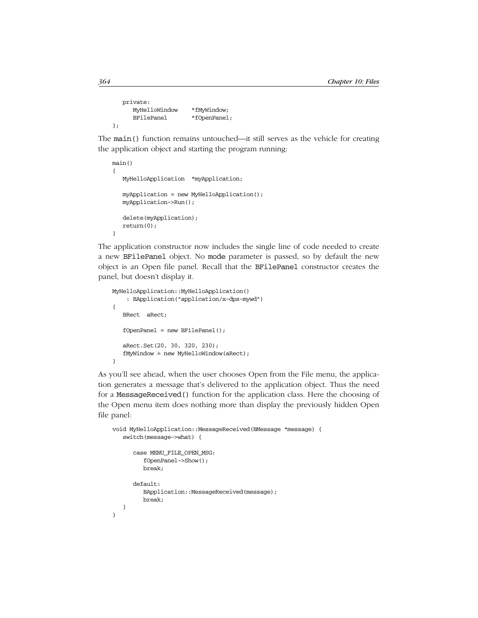```
 private:
      MyHelloWindow *fMyWindow;
      BFilePanel *fOpenPanel;
};
```
The main() function remains untouched—it still serves as the vehicle for creating the application object and starting the program running:

```
main()
{
    MyHelloApplication *myApplication;
    myApplication = new MyHelloApplication();
    myApplication->Run();
    delete(myApplication);
    return(0);
}
```
The application constructor now includes the single line of code needed to create a new BFilePanel object. No mode parameter is passed, so by default the new object is an Open file panel. Recall that the BFilePanel constructor creates the panel, but doesn't display it.

```
MyHelloApplication::MyHelloApplication()
     : BApplication("application/x-dps-mywd")
{
    BRect aRect;
    fOpenPanel = new BFilePanel();
    aRect.Set(20, 30, 320, 230);
    fMyWindow = new MyHelloWindow(aRect);
}
```
As you'll see ahead, when the user chooses Open from the File menu, the application generates a message that's delivered to the application object. Thus the need for a MessageReceived() function for the application class. Here the choosing of the Open menu item does nothing more than display the previously hidden Open file panel:

```
void MyHelloApplication::MessageReceived(BMessage *message) {
    switch(message->what) {
       case MENU_FILE_OPEN_MSG:
          fOpenPanel->Show();
          break;
       default:
          BApplication::MessageReceived(message);
          break;
    }
}
```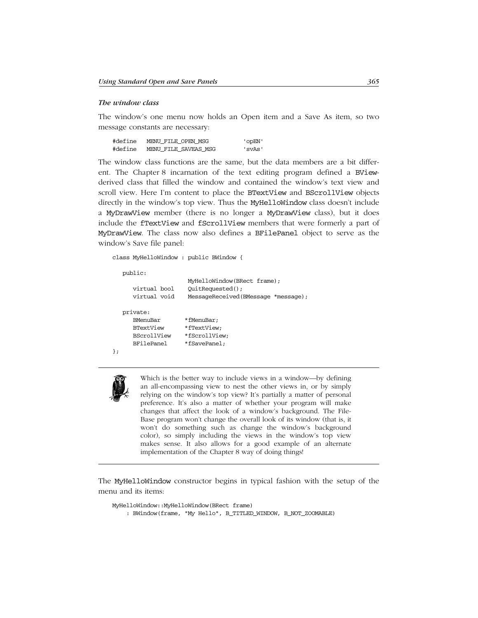#### *The window class*

The window's one menu now holds an Open item and a Save As item, so two message constants are necessary:

| #define | MENU FILE OPEN MSG   | 'opEN' |
|---------|----------------------|--------|
| #define | MENU FILE SAVEAS MSG | 'svAs' |

The window class functions are the same, but the data members are a bit different. The Chapter 8 incarnation of the text editing program defined a BViewderived class that filled the window and contained the window's text view and scroll view. Here I'm content to place the BTextView and BScrollView objects directly in the window's top view. Thus the MyHelloWindow class doesn't include a MyDrawView member (there is no longer a MyDrawView class), but it does include the fTextView and fScrollView members that were formerly a part of MyDrawView. The class now also defines a BFilePanel object to serve as the window's Save file panel:

```
class MyHelloWindow : public BWindow {
```

```
 public:
                     MyHelloWindow(BRect frame);
     virtual bool QuitRequested();
      virtual void MessageReceived(BMessage *message);
   private:
      BMenuBar *fMenuBar;
      BTextView *fTextView;
      BScrollView *fScrollView;
      BFilePanel *fSavePanel;
};
```


Which is the better way to include views in a window—by defining an all-encompassing view to nest the other views in, or by simply relying on the window's top view? It's partially a matter of personal preference. It's also a matter of whether your program will make changes that affect the look of a window's background. The File-Base program won't change the overall look of its window (that is, it won't do something such as change the window's background color), so simply including the views in the window's top view makes sense. It also allows for a good example of an alternate implementation of the Chapter 8 way of doing things!

The MyHelloWindow constructor begins in typical fashion with the setup of the menu and its items:

```
MyHelloWindow::MyHelloWindow(BRect frame)
     : BWindow(frame, "My Hello", B_TITLED_WINDOW, B_NOT_ZOOMABLE)
```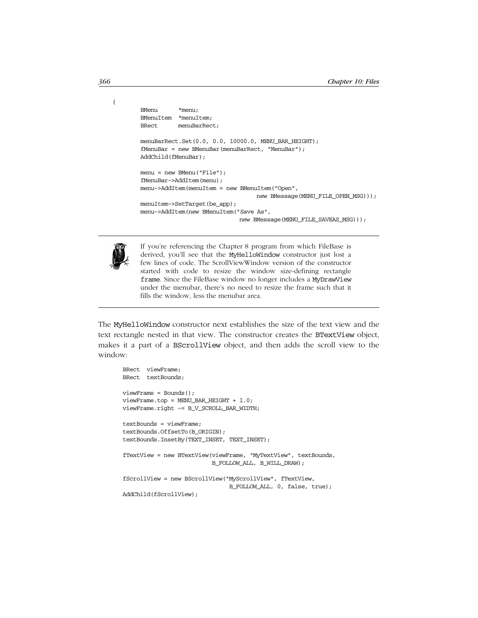```
BMenu *menu;
BMenuItem *menuItem;
BRect menuBarRect;
menuBarRect.Set(0.0, 0.0, 10000.0, MENU_BAR_HEIGHT);
fMenuBar = new BMenuBar(menuBarRect, "MenuBar");
AddChild(fMenuBar);
menu = new BMenu("File");
fMenuBar->AddItem(menu);
menu->AddItem(menuItem = new BMenuItem("Open",
                                  new BMessage(MENU_FILE_OPEN_MSG)));
menuItem->SetTarget(be_app);
menu->AddItem(new BMenuItem("Save As",
                             new BMessage(MENU_FILE_SAVEAS_MSG)));
```


If you're referencing the Chapter 8 program from which FileBase is derived, you'll see that the MyHelloWindow constructor just lost a few lines of code. The ScrollViewWindow version of the constructor started with code to resize the window size-defining rectangle frame. Since the FileBase window no longer includes a MyDrawView under the menubar, there's no need to resize the frame such that it fills the window, less the menubar area.

The MyHelloWindow constructor next establishes the size of the text view and the text rectangle nested in that view. The constructor creates the BTextView object, makes it a part of a BScrollView object, and then adds the scroll view to the window:

```
 BRect viewFrame;
 BRect textBounds;
 viewFrame = Bounds();
 viewFrame.top = MENU_BAR_HEIGHT + 1.0;
 viewFrame.right -= B_V_SCROLL_BAR_WIDTH;
 textBounds = viewFrame;
 textBounds.OffsetTo(B_ORIGIN);
textBounds.InsetBy(TEXT_INSET, TEXT_INSET);
 fTextView = new BTextView(viewFrame, "MyTextView", textBounds,
                           B_FOLLOW_ALL, B_WILL_DRAW);
 fScrollView = new BScrollView("MyScrollView", fTextView,
                                 B_FOLLOW_ALL, 0, false, true);
 AddChild(fScrollView);
```
{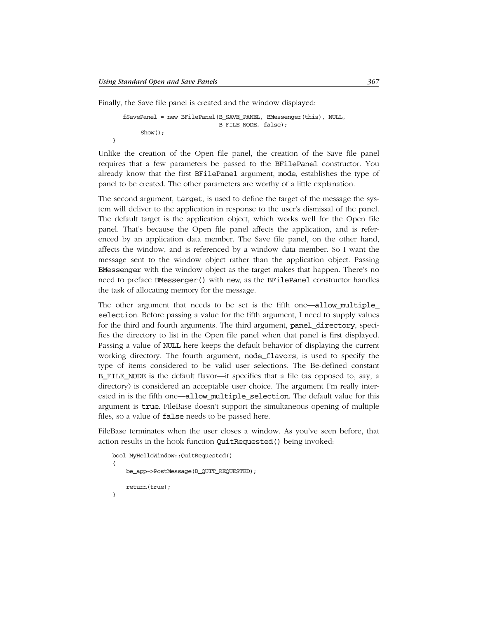}

Finally, the Save file panel is created and the window displayed:

```
 fSavePanel = new BFilePanel(B_SAVE_PANEL, BMessenger(this), NULL,
                              B_FILE_NODE, false);
     Show():
```
Unlike the creation of the Open file panel, the creation of the Save file panel requires that a few parameters be passed to the BFilePanel constructor. You already know that the first BFilePanel argument, mode, establishes the type of panel to be created. The other parameters are worthy of a little explanation.

The second argument, target, is used to define the target of the message the system will deliver to the application in response to the user's dismissal of the panel. The default target is the application object, which works well for the Open file panel. That's because the Open file panel affects the application, and is referenced by an application data member. The Save file panel, on the other hand, affects the window, and is referenced by a window data member. So I want the message sent to the window object rather than the application object. Passing BMessenger with the window object as the target makes that happen. There's no need to preface BMessenger() with new, as the BFilePanel constructor handles the task of allocating memory for the message.

The other argument that needs to be set is the fifth one—allow\_multiple\_ selection. Before passing a value for the fifth argument, I need to supply values for the third and fourth arguments. The third argument, panel\_directory, specifies the directory to list in the Open file panel when that panel is first displayed. Passing a value of NULL here keeps the default behavior of displaying the current working directory. The fourth argument, node\_flavors, is used to specify the type of items considered to be valid user selections. The Be-defined constant B\_FILE\_NODE is the default flavor—it specifies that a file (as opposed to, say, a directory) is considered an acceptable user choice. The argument I'm really interested in is the fifth one—allow\_multiple\_selection. The default value for this argument is true. FileBase doesn't support the simultaneous opening of multiple files, so a value of false needs to be passed here.

FileBase terminates when the user closes a window. As you've seen before, that action results in the hook function QuitRequested() being invoked:

```
bool MyHelloWindow::QuitRequested()
{
     be_app->PostMessage(B_QUIT_REQUESTED);
     return(true);
}
```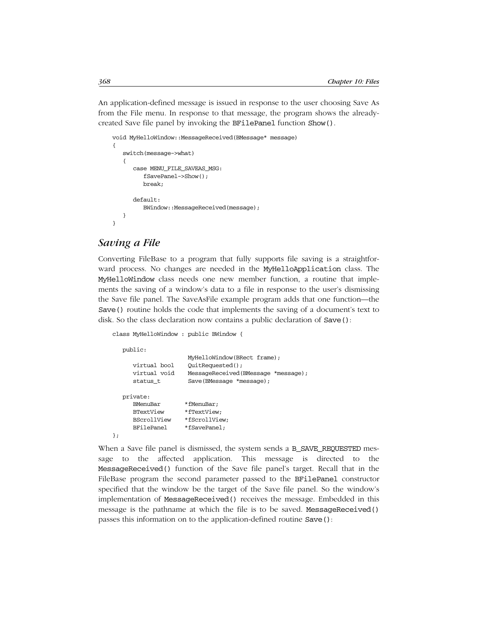An application-defined message is issued in response to the user choosing Save As from the File menu. In response to that message, the program shows the alreadycreated Save file panel by invoking the BFilePanel function Show().

```
void MyHelloWindow::MessageReceived(BMessage* message)
{
    switch(message->what)
    {
       case MENU_FILE_SAVEAS_MSG:
          fSavePanel->Show();
          break;
       default:
          BWindow::MessageReceived(message);
    }
}
```
## *Saving a File*

Converting FileBase to a program that fully supports file saving is a straightforward process. No changes are needed in the MyHelloApplication class. The MyHelloWindow class needs one new member function, a routine that implements the saving of a window's data to a file in response to the user's dismissing the Save file panel. The SaveAsFile example program adds that one function—the Save() routine holds the code that implements the saving of a document's text to disk. So the class declaration now contains a public declaration of Save():

class MyHelloWindow : public BWindow {

```
 public:
                     MyHelloWindow(BRect frame);
      virtual bool QuitRequested();
      virtual void MessageReceived(BMessage *message);
     status_t Save(BMessage *message);
   private:
     BMenuBar *fMenuBar;
      BTextView *fTextView;
      BScrollView *fScrollView;
      BFilePanel *fSavePanel;
};
```
When a Save file panel is dismissed, the system sends a B\_SAVE\_REQUESTED message to the affected application. This message is directed to the MessageReceived() function of the Save file panel's target. Recall that in the FileBase program the second parameter passed to the BFilePanel constructor specified that the window be the target of the Save file panel. So the window's implementation of MessageReceived() receives the message. Embedded in this message is the pathname at which the file is to be saved. MessageReceived() passes this information on to the application-defined routine Save():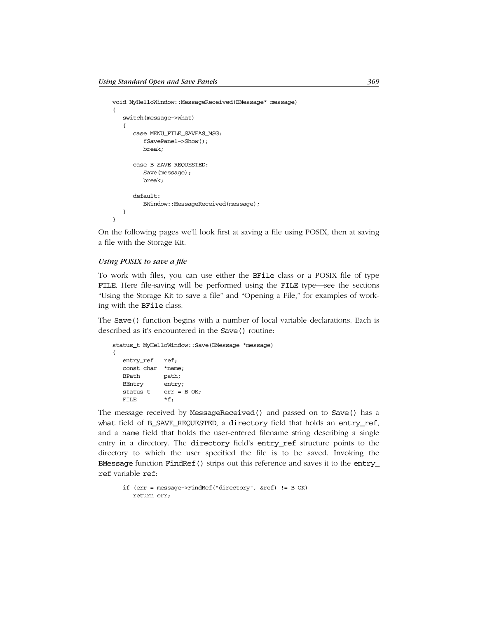```
void MyHelloWindow::MessageReceived(BMessage* message)
{
    switch(message->what)
    {
       case MENU_FILE_SAVEAS_MSG:
          fSavePanel->Show();
          break;
       case B_SAVE_REQUESTED:
          Save(message);
          break;
       default:
          BWindow::MessageReceived(message);
    }
}
```
On the following pages we'll look first at saving a file using POSIX, then at saving a file with the Storage Kit.

#### *Using POSIX to save a file*

To work with files, you can use either the BFile class or a POSIX file of type FILE. Here file-saving will be performed using the FILE type—see the sections "Using the Storage Kit to save a file" and "Opening a File," for examples of working with the BFile class.

The Save() function begins with a number of local variable declarations. Each is described as it's encountered in the Save() routine:

```
status_t MyHelloWindow::Save(BMessage *message)
{
   entry_ref ref;
   const char *name;
   BPath path;
   BEntry entry;
   status_t err = B_OK;
  FILE *f;
```
The message received by MessageReceived() and passed on to Save() has a what field of B\_SAVE\_REQUESTED, a directory field that holds an entry\_ref, and a name field that holds the user-entered filename string describing a single entry in a directory. The directory field's entry\_ref structure points to the directory to which the user specified the file is to be saved. Invoking the BMessage function FindRef() strips out this reference and saves it to the entry\_ ref variable ref:

 if (err = message->FindRef("directory", &ref) != B\_OK) return err;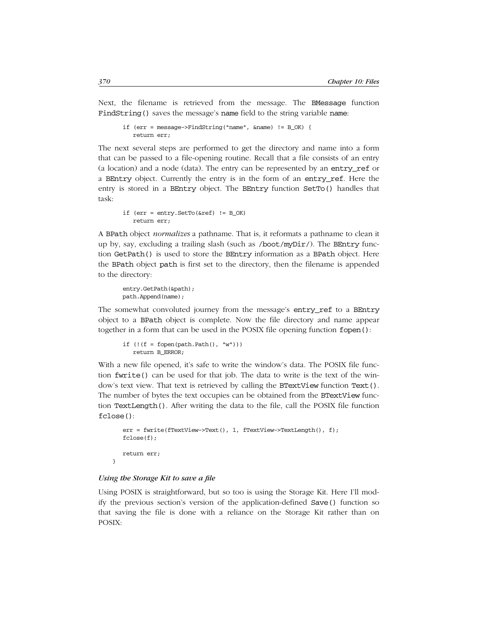Next, the filename is retrieved from the message. The BMessage function FindString() saves the message's name field to the string variable name:

```
 if (err = message->FindString("name", &name) != B_OK) {
    return err;
```
The next several steps are performed to get the directory and name into a form that can be passed to a file-opening routine. Recall that a file consists of an entry (a location) and a node (data). The entry can be represented by an entry\_ref or a BEntry object. Currently the entry is in the form of an entry\_ref. Here the entry is stored in a BEntry object. The BEntry function SetTo() handles that task:

```
if (err = entry.SetTo(\&ref) := BOK) return err;
```
A BPath object *normalizes* a pathname. That is, it reformats a pathname to clean it up by, say, excluding a trailing slash (such as /boot/myDir/). The BEntry function GetPath() is used to store the BEntry information as a BPath object. Here the BPath object path is first set to the directory, then the filename is appended to the directory:

 entry.GetPath(&path); path.Append(name);

The somewhat convoluted journey from the message's entry\_ref to a BEntry object to a BPath object is complete. Now the file directory and name appear together in a form that can be used in the POSIX file opening function fopen():

```
if (! (f = fopen(path.path(), "w"))) return B_ERROR;
```
With a new file opened, it's safe to write the window's data. The POSIX file function fwrite() can be used for that job. The data to write is the text of the window's text view. That text is retrieved by calling the BTextView function Text(). The number of bytes the text occupies can be obtained from the BTextView function TextLength(). After writing the data to the file, call the POSIX file function fclose():

```
err = fwrite(fTextView->Text(), 1, fTextView->TextLength(), f);
    fclose(f);
    return err;
}
```
#### *Using the Storage Kit to save a file*

Using POSIX is straightforward, but so too is using the Storage Kit. Here I'll modify the previous section's version of the application-defined Save() function so that saving the file is done with a reliance on the Storage Kit rather than on POSIX: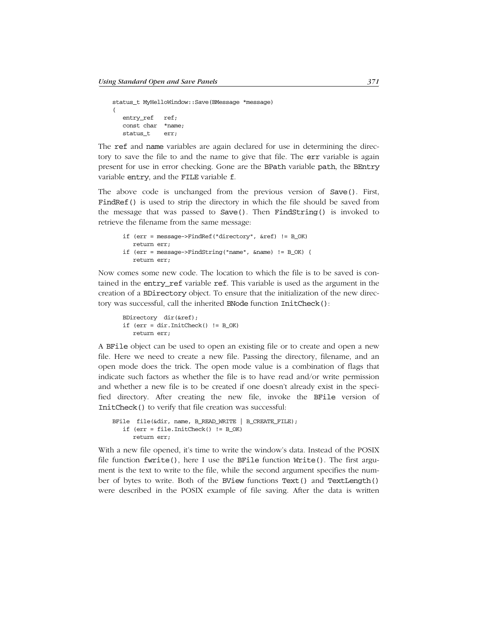```
status_t MyHelloWindow::Save(BMessage *message)
{
  entry_ref ref;
   const char *name;
   status_t err;
```
The ref and name variables are again declared for use in determining the directory to save the file to and the name to give that file. The err variable is again present for use in error checking. Gone are the BPath variable path, the BEntry variable entry, and the FILE variable f.

The above code is unchanged from the previous version of Save(). First, FindRef() is used to strip the directory in which the file should be saved from the message that was passed to Save(). Then FindString() is invoked to retrieve the filename from the same message:

```
 if (err = message->FindRef("directory", &ref) != B_OK)
    return err;
 if (err = message->FindString("name", &name) != B_OK) {
    return err;
```
Now comes some new code. The location to which the file is to be saved is contained in the entry\_ref variable ref. This variable is used as the argument in the creation of a BDirectory object. To ensure that the initialization of the new directory was successful, call the inherited BNode function InitCheck():

```
 BDirectory dir(&ref);
 if (err = dir.InitCheck() != B_OK)
    return err;
```
A BFile object can be used to open an existing file or to create and open a new file. Here we need to create a new file. Passing the directory, filename, and an open mode does the trick. The open mode value is a combination of flags that indicate such factors as whether the file is to have read and/or write permission and whether a new file is to be created if one doesn't already exist in the specified directory. After creating the new file, invoke the BFile version of InitCheck() to verify that file creation was successful:

```
BFile file(&dir, name, B_READ_WRITE | B_CREATE_FILE);
    if (err = file.InitCheck() != B_OK)
       return err;
```
With a new file opened, it's time to write the window's data. Instead of the POSIX file function  $fwrite()$ , here I use the BFile function  $Write()$ . The first argument is the text to write to the file, while the second argument specifies the number of bytes to write. Both of the BView functions Text() and TextLength() were described in the POSIX example of file saving. After the data is written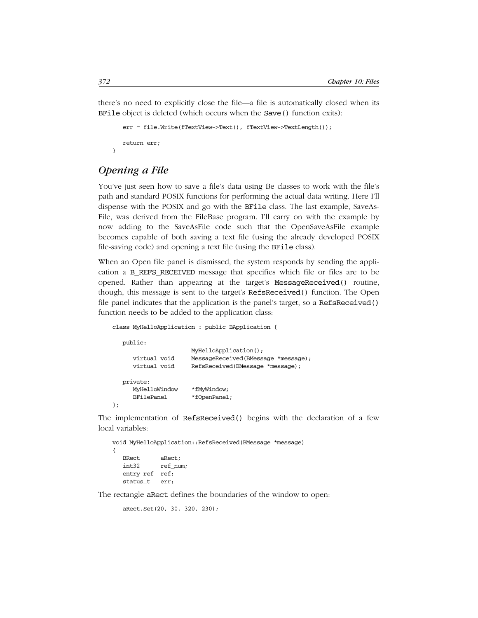there's no need to explicitly close the file—a file is automatically closed when its BFile object is deleted (which occurs when the Save() function exits):

```
 err = file.Write(fTextView->Text(), fTextView->TextLength());
    return err;
}
```
# *Opening a File*

You've just seen how to save a file's data using Be classes to work with the file's path and standard POSIX functions for performing the actual data writing. Here I'll dispense with the POSIX and go with the BFile class. The last example, SaveAs-File, was derived from the FileBase program. I'll carry on with the example by now adding to the SaveAsFile code such that the OpenSaveAsFile example becomes capable of both saving a text file (using the already developed POSIX file-saving code) and opening a text file (using the BFile class).

When an Open file panel is dismissed, the system responds by sending the application a B\_REFS\_RECEIVED message that specifies which file or files are to be opened. Rather than appearing at the target's MessageReceived() routine, though, this message is sent to the target's RefsReceived() function. The Open file panel indicates that the application is the panel's target, so a RefsReceived() function needs to be added to the application class:

```
class MyHelloApplication : public BApplication {
```
public:

{

```
 MyHelloApplication();
      virtual void MessageReceived(BMessage *message);
      virtual void RefsReceived(BMessage *message);
   private:
      MyHelloWindow *fMyWindow;
      BFilePanel *fOpenPanel;
};
```
The implementation of RefsReceived() begins with the declaration of a few local variables:

```
void MyHelloApplication::RefsReceived(BMessage *message)
```

```
 BRect aRect;
 int32 ref_num;
 entry_ref ref;
 status_t err;
```
The rectangle aRect defines the boundaries of the window to open:

```
 aRect.Set(20, 30, 320, 230);
```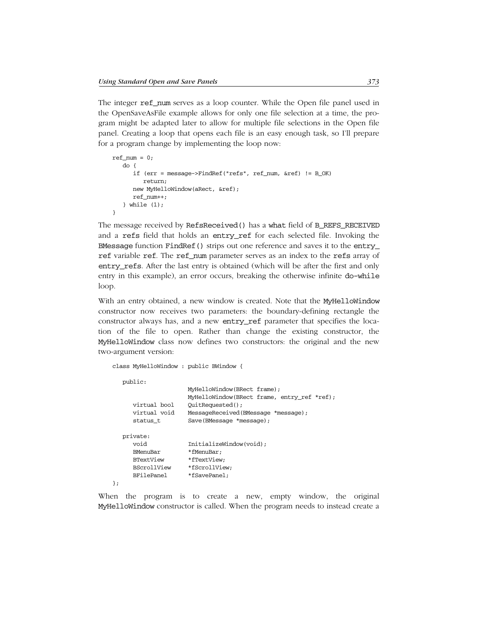The integer ref\_num serves as a loop counter. While the Open file panel used in the OpenSaveAsFile example allows for only one file selection at a time, the program might be adapted later to allow for multiple file selections in the Open file panel. Creating a loop that opens each file is an easy enough task, so I'll prepare for a program change by implementing the loop now:

```
ref\_num = 0; do {
       if (err = message->FindRef("refs", ref_num, &ref) != B_OK)
          return;
       new MyHelloWindow(aRect, &ref);
       ref_num++;
    } while (1);
}
```
The message received by RefsReceived() has a what field of B\_REFS\_RECEIVED and a refs field that holds an entry\_ref for each selected file. Invoking the BMessage function FindRef() strips out one reference and saves it to the entry\_ ref variable ref. The ref\_num parameter serves as an index to the refs array of entry\_refs. After the last entry is obtained (which will be after the first and only entry in this example), an error occurs, breaking the otherwise infinite do-while loop.

With an entry obtained, a new window is created. Note that the MyHelloWindow constructor now receives two parameters: the boundary-defining rectangle the constructor always has, and a new entry\_ref parameter that specifies the location of the file to open. Rather than change the existing constructor, the MyHelloWindow class now defines two constructors: the original and the new two-argument version:

```
class MyHelloWindow : public BWindow {
   public:
                    MyHelloWindow(BRect frame);
                    MyHelloWindow(BRect frame, entry_ref *ref);
     virtual bool    QuitRequested();
      virtual void MessageReceived(BMessage *message);
     status_t Save(BMessage *message);
   private:
     void InitializeWindow(void);
      BMenuBar *fMenuBar;
      BTextView *fTextView;
      BScrollView *fScrollView;
      BFilePanel *fSavePanel;
};
```
When the program is to create a new, empty window, the original MyHelloWindow constructor is called. When the program needs to instead create a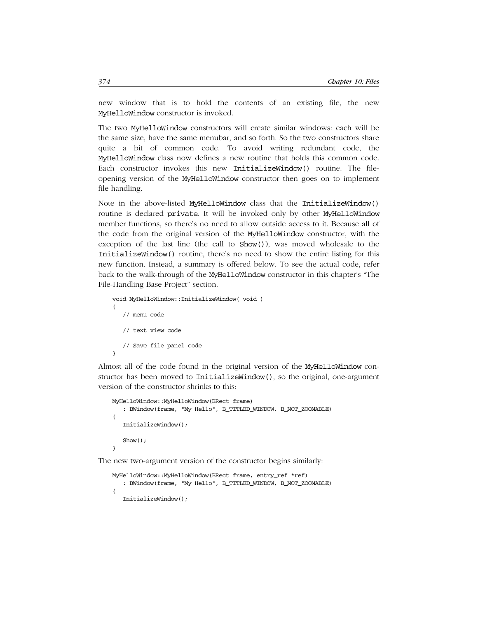new window that is to hold the contents of an existing file, the new MyHelloWindow constructor is invoked.

The two MyHelloWindow constructors will create similar windows: each will be the same size, have the same menubar, and so forth. So the two constructors share quite a bit of common code. To avoid writing redundant code, the MyHelloWindow class now defines a new routine that holds this common code. Each constructor invokes this new InitializeWindow() routine. The fileopening version of the MyHelloWindow constructor then goes on to implement file handling.

Note in the above-listed MyHelloWindow class that the InitializeWindow() routine is declared private. It will be invoked only by other MyHelloWindow member functions, so there's no need to allow outside access to it. Because all of the code from the original version of the MyHelloWindow constructor, with the exception of the last line (the call to Show()), was moved wholesale to the InitializeWindow() routine, there's no need to show the entire listing for this new function. Instead, a summary is offered below. To see the actual code, refer back to the walk-through of the MyHelloWindow constructor in this chapter's "The File-Handling Base Project" section.

```
void MyHelloWindow::InitializeWindow( void )
{
    // menu code
    // text view code
    // Save file panel code
}
```
Almost all of the code found in the original version of the MyHelloWindow constructor has been moved to InitializeWindow(), so the original, one-argument version of the constructor shrinks to this:

```
MyHelloWindow::MyHelloWindow(BRect frame)
    : BWindow(frame, "My Hello", B_TITLED_WINDOW, B_NOT_ZOOMABLE)
{
    InitializeWindow();
   Show():
}
```
The new two-argument version of the constructor begins similarly:

```
MyHelloWindow::MyHelloWindow(BRect frame, entry_ref *ref)
    : BWindow(frame, "My Hello", B_TITLED_WINDOW, B_NOT_ZOOMABLE)
{
    InitializeWindow();
```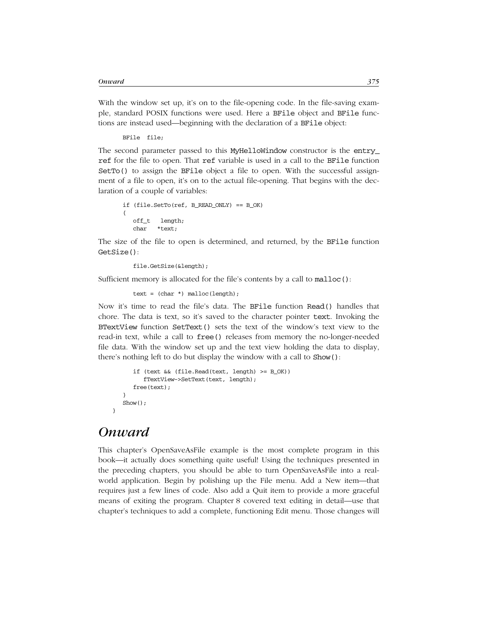With the window set up, it's on to the file-opening code. In the file-saving example, standard POSIX functions were used. Here a BFile object and BFile functions are instead used—beginning with the declaration of a BFile object:

BFile file;

The second parameter passed to this MyHelloWindow constructor is the entry\_ ref for the file to open. That ref variable is used in a call to the BFile function SetTo() to assign the BFile object a file to open. With the successful assignment of a file to open, it's on to the actual file-opening. That begins with the declaration of a couple of variables:

```
 if (file.SetTo(ref, B_READ_ONLY) == B_OK)
 {
    off_t length;
    char *text;
```
The size of the file to open is determined, and returned, by the BFile function GetSize():

file.GetSize(&length);

Sufficient memory is allocated for the file's contents by a call to malloc():

text =  $(char * )$  malloc $(lenath)$ ;

Now it's time to read the file's data. The BFile function Read() handles that chore. The data is text, so it's saved to the character pointer text. Invoking the BTextView function SetText() sets the text of the window's text view to the read-in text, while a call to free() releases from memory the no-longer-needed file data. With the window set up and the text view holding the data to display, there's nothing left to do but display the window with a call to Show():

```
 if (text && (file.Read(text, length) >= B_OK))
       fTextView->SetText(text, length);
    free(text);
 }
Show();
```
# *Onward*

}

This chapter's OpenSaveAsFile example is the most complete program in this book—it actually does something quite useful! Using the techniques presented in the preceding chapters, you should be able to turn OpenSaveAsFile into a realworld application. Begin by polishing up the File menu. Add a New item—that requires just a few lines of code. Also add a Quit item to provide a more graceful means of exiting the program. Chapter 8 covered text editing in detail—use that chapter's techniques to add a complete, functioning Edit menu. Those changes will